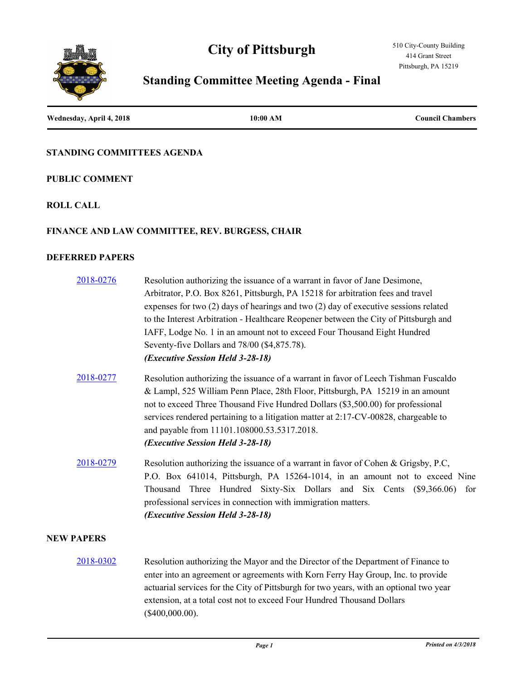# **City of Pittsburgh**



# **Standing Committee Meeting Agenda - Final**

| Wednesday, April 4, 2018 | 10:00 AM | <b>Council Chambers</b> |
|--------------------------|----------|-------------------------|
|                          |          |                         |

## **STANDING COMMITTEES AGENDA**

#### **PUBLIC COMMENT**

# **ROLL CALL**

#### **FINANCE AND LAW COMMITTEE, REV. BURGESS, CHAIR**

# **DEFERRED PAPERS**

| 2018-0276         | Resolution authorizing the issuance of a warrant in favor of Jane Desimone,                                                                                                                                                                                                                                                                                                                                                        |
|-------------------|------------------------------------------------------------------------------------------------------------------------------------------------------------------------------------------------------------------------------------------------------------------------------------------------------------------------------------------------------------------------------------------------------------------------------------|
|                   | Arbitrator, P.O. Box 8261, Pittsburgh, PA 15218 for arbitration fees and travel                                                                                                                                                                                                                                                                                                                                                    |
|                   | expenses for two $(2)$ days of hearings and two $(2)$ day of executive sessions related                                                                                                                                                                                                                                                                                                                                            |
|                   | to the Interest Arbitration - Healthcare Reopener between the City of Pittsburgh and                                                                                                                                                                                                                                                                                                                                               |
|                   | IAFF, Lodge No. 1 in an amount not to exceed Four Thousand Eight Hundred                                                                                                                                                                                                                                                                                                                                                           |
|                   | Seventy-five Dollars and 78/00 (\$4,875.78).                                                                                                                                                                                                                                                                                                                                                                                       |
|                   | (Executive Session Held 3-28-18)                                                                                                                                                                                                                                                                                                                                                                                                   |
| 2018-0277         | Resolution authorizing the issuance of a warrant in favor of Leech Tishman Fuscaldo<br>& Lampl, 525 William Penn Place, 28th Floor, Pittsburgh, PA 15219 in an amount<br>not to exceed Three Thousand Five Hundred Dollars (\$3,500.00) for professional<br>services rendered pertaining to a litigation matter at 2:17-CV-00828, chargeable to<br>and payable from 11101.108000.53.5317.2018.<br>(Executive Session Held 3-28-18) |
| 2018-0279         | Resolution authorizing the issuance of a warrant in favor of Cohen & Grigsby, P.C,<br>P.O. Box 641014, Pittsburgh, PA 15264-1014, in an amount not to exceed Nine<br>Thousand Three Hundred Sixty-Six Dollars and Six Cents (\$9,366.06) for<br>professional services in connection with immigration matters.<br>(Executive Session Held 3-28-18)                                                                                  |
| <b>NEW PAPERS</b> |                                                                                                                                                                                                                                                                                                                                                                                                                                    |
| 2018-0302         | Resolution authorizing the Mayor and the Director of the Department of Finance to<br>$\mathbf{H}$ and $\mathbf{H}$ is the contract of the contract of the contract of the contract of the contract of the contract of the contract of the contract of the contract of the contract of the contract of the contract of the                                                                                                          |

enter into an agreement or agreements with Korn Ferry Hay Group, Inc. to provide actuarial services for the City of Pittsburgh for two years, with an optional two year extension, at a total cost not to exceed Four Hundred Thousand Dollars (\$400,000.00).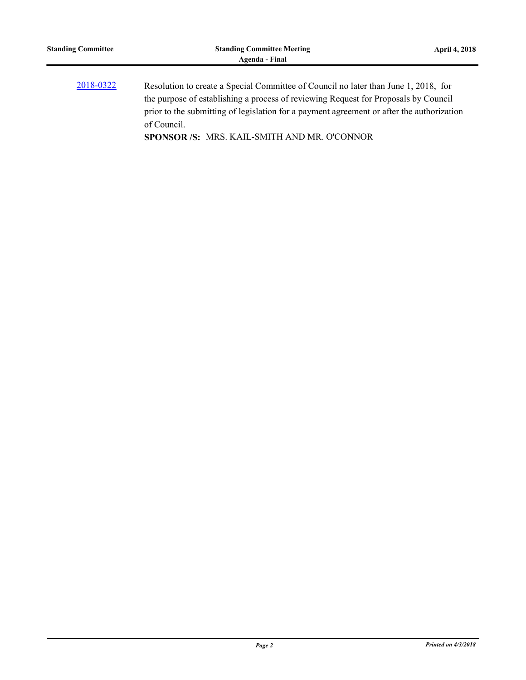[2018-0322](http://pittsburgh.legistar.com/gateway.aspx?m=l&id=/matter.aspx?key=22633) Resolution to create a Special Committee of Council no later than June 1, 2018, for the purpose of establishing a process of reviewing Request for Proposals by Council prior to the submitting of legislation for a payment agreement or after the authorization of Council. **SPONSOR /S:** MRS. KAIL-SMITH AND MR. O'CONNOR

*Page 2 Printed on 4/3/2018*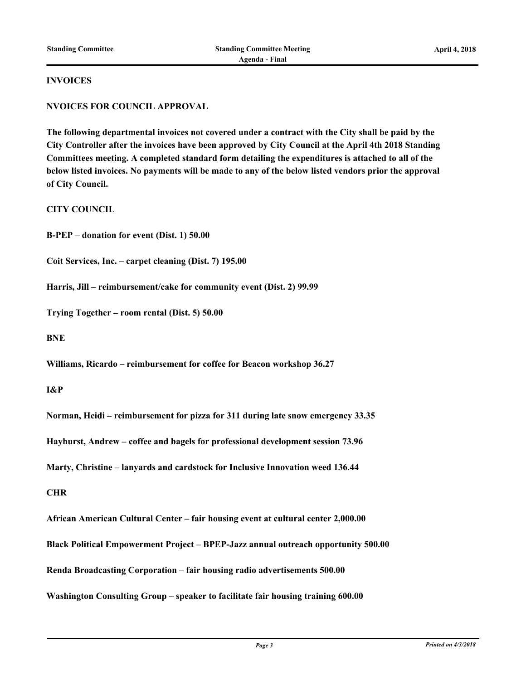#### **INVOICES**

## **NVOICES FOR COUNCIL APPROVAL**

**The following departmental invoices not covered under a contract with the City shall be paid by the City Controller after the invoices have been approved by City Council at the April 4th 2018 Standing Committees meeting. A completed standard form detailing the expenditures is attached to all of the below listed invoices. No payments will be made to any of the below listed vendors prior the approval of City Council.**

**CITY COUNCIL**

**B-PEP – donation for event (Dist. 1) 50.00**

**Coit Services, Inc. – carpet cleaning (Dist. 7) 195.00**

**Harris, Jill – reimbursement/cake for community event (Dist. 2) 99.99**

**Trying Together – room rental (Dist. 5) 50.00**

**BNE**

**Williams, Ricardo – reimbursement for coffee for Beacon workshop 36.27**

**I&P**

**Norman, Heidi – reimbursement for pizza for 311 during late snow emergency 33.35**

**Hayhurst, Andrew – coffee and bagels for professional development session 73.96**

**Marty, Christine – lanyards and cardstock for Inclusive Innovation weed 136.44**

**CHR**

**African American Cultural Center – fair housing event at cultural center 2,000.00 Black Political Empowerment Project – BPEP-Jazz annual outreach opportunity 500.00 Renda Broadcasting Corporation – fair housing radio advertisements 500.00 Washington Consulting Group – speaker to facilitate fair housing training 600.00**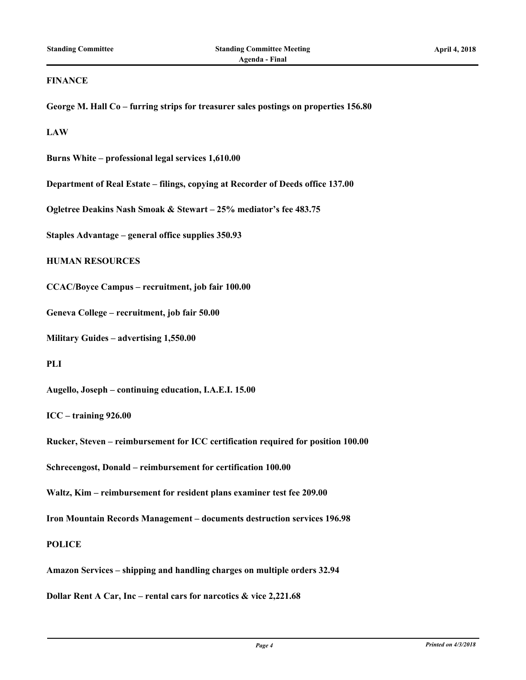#### **FINANCE**

**George M. Hall Co – furring strips for treasurer sales postings on properties 156.80**

**LAW**

**Burns White – professional legal services 1,610.00**

**Department of Real Estate – filings, copying at Recorder of Deeds office 137.00**

**Ogletree Deakins Nash Smoak & Stewart – 25% mediator's fee 483.75**

**Staples Advantage – general office supplies 350.93**

#### **HUMAN RESOURCES**

**CCAC/Boyce Campus – recruitment, job fair 100.00**

**Geneva College – recruitment, job fair 50.00**

**Military Guides – advertising 1,550.00**

**PLI**

**Augello, Joseph – continuing education, I.A.E.I. 15.00**

**ICC – training 926.00**

**Rucker, Steven – reimbursement for ICC certification required for position 100.00**

**Schrecengost, Donald – reimbursement for certification 100.00**

**Waltz, Kim – reimbursement for resident plans examiner test fee 209.00**

**Iron Mountain Records Management – documents destruction services 196.98**

**POLICE**

**Amazon Services – shipping and handling charges on multiple orders 32.94**

**Dollar Rent A Car, Inc – rental cars for narcotics & vice 2,221.68**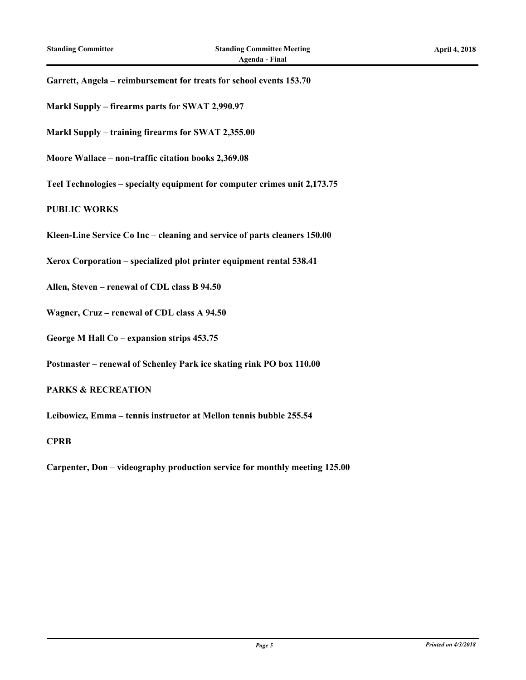**Garrett, Angela – reimbursement for treats for school events 153.70**

- **Markl Supply firearms parts for SWAT 2,990.97**
- **Markl Supply training firearms for SWAT 2,355.00**
- **Moore Wallace non-traffic citation books 2,369.08**
- **Teel Technologies specialty equipment for computer crimes unit 2,173.75**

#### **PUBLIC WORKS**

- **Kleen-Line Service Co Inc cleaning and service of parts cleaners 150.00**
- **Xerox Corporation specialized plot printer equipment rental 538.41**
- **Allen, Steven renewal of CDL class B 94.50**
- **Wagner, Cruz renewal of CDL class A 94.50**
- **George M Hall Co expansion strips 453.75**
- **Postmaster renewal of Schenley Park ice skating rink PO box 110.00**

#### **PARKS & RECREATION**

**Leibowicz, Emma – tennis instructor at Mellon tennis bubble 255.54**

#### **CPRB**

**Carpenter, Don – videography production service for monthly meeting 125.00**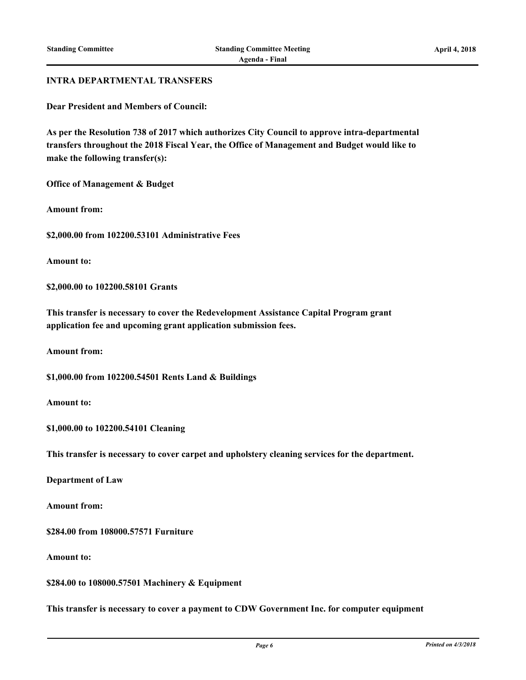#### **INTRA DEPARTMENTAL TRANSFERS**

**Dear President and Members of Council:**

**As per the Resolution 738 of 2017 which authorizes City Council to approve intra-departmental transfers throughout the 2018 Fiscal Year, the Office of Management and Budget would like to make the following transfer(s):**

**Office of Management & Budget**

**Amount from:**

**\$2,000.00 from 102200.53101 Administrative Fees**

**Amount to:**

**\$2,000.00 to 102200.58101 Grants**

**This transfer is necessary to cover the Redevelopment Assistance Capital Program grant application fee and upcoming grant application submission fees.**

**Amount from:**

**\$1,000.00 from 102200.54501 Rents Land & Buildings**

**Amount to:**

**\$1,000.00 to 102200.54101 Cleaning**

**This transfer is necessary to cover carpet and upholstery cleaning services for the department.**

**Department of Law**

**Amount from:**

**\$284.00 from 108000.57571 Furniture**

**Amount to:**

**\$284.00 to 108000.57501 Machinery & Equipment**

**This transfer is necessary to cover a payment to CDW Government Inc. for computer equipment**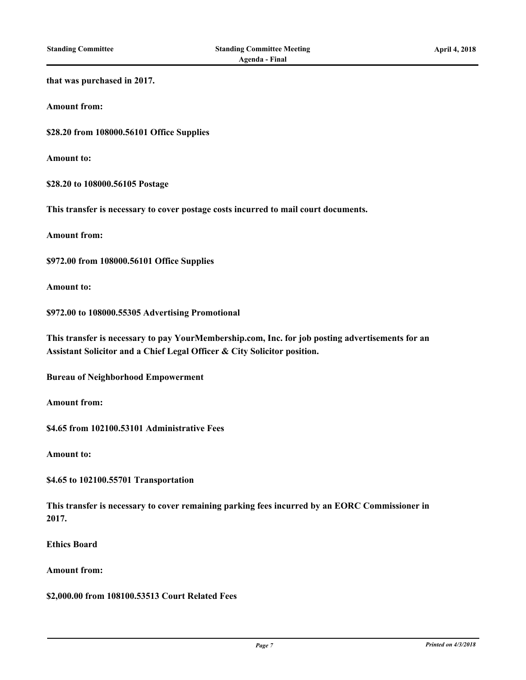# **that was purchased in 2017. Amount from: \$28.20 from 108000.56101 Office Supplies Amount to: \$28.20 to 108000.56105 Postage This transfer is necessary to cover postage costs incurred to mail court documents. Amount from: \$972.00 from 108000.56101 Office Supplies Amount to: \$972.00 to 108000.55305 Advertising Promotional This transfer is necessary to pay YourMembership.com, Inc. for job posting advertisements for an Assistant Solicitor and a Chief Legal Officer & City Solicitor position. Bureau of Neighborhood Empowerment Amount from: \$4.65 from 102100.53101 Administrative Fees Amount to: \$4.65 to 102100.55701 Transportation This transfer is necessary to cover remaining parking fees incurred by an EORC Commissioner in 2017.**

**Ethics Board**

**Amount from:**

**\$2,000.00 from 108100.53513 Court Related Fees**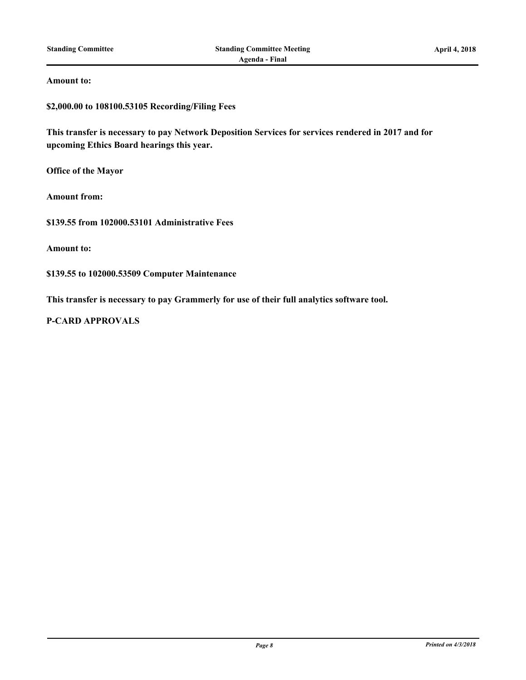#### **Amount to:**

**\$2,000.00 to 108100.53105 Recording/Filing Fees**

**This transfer is necessary to pay Network Deposition Services for services rendered in 2017 and for upcoming Ethics Board hearings this year.**

**Office of the Mayor**

**Amount from:**

**\$139.55 from 102000.53101 Administrative Fees**

**Amount to:**

**\$139.55 to 102000.53509 Computer Maintenance**

**This transfer is necessary to pay Grammerly for use of their full analytics software tool.**

**P-CARD APPROVALS**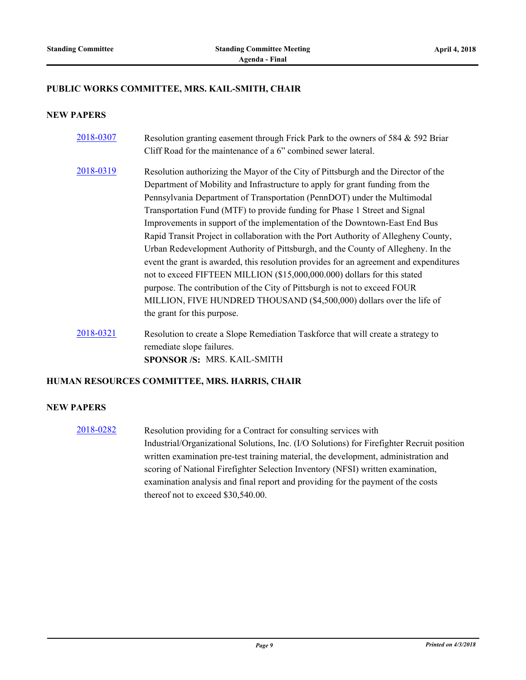#### **PUBLIC WORKS COMMITTEE, MRS. KAIL-SMITH, CHAIR**

## **NEW PAPERS**

| 2018-0307 | Resolution granting easement through Frick Park to the owners of 584 & 592 Briar<br>Cliff Road for the maintenance of a 6" combined sewer lateral.                                                                                                                                                                                                                                                                                                                                                                                                                                                                                                                                                                                                                                                                                                                                                                                                |
|-----------|---------------------------------------------------------------------------------------------------------------------------------------------------------------------------------------------------------------------------------------------------------------------------------------------------------------------------------------------------------------------------------------------------------------------------------------------------------------------------------------------------------------------------------------------------------------------------------------------------------------------------------------------------------------------------------------------------------------------------------------------------------------------------------------------------------------------------------------------------------------------------------------------------------------------------------------------------|
| 2018-0319 | Resolution authorizing the Mayor of the City of Pittsburgh and the Director of the<br>Department of Mobility and Infrastructure to apply for grant funding from the<br>Pennsylvania Department of Transportation (PennDOT) under the Multimodal<br>Transportation Fund (MTF) to provide funding for Phase 1 Street and Signal<br>Improvements in support of the implementation of the Downtown-East End Bus<br>Rapid Transit Project in collaboration with the Port Authority of Allegheny County,<br>Urban Redevelopment Authority of Pittsburgh, and the County of Allegheny. In the<br>event the grant is awarded, this resolution provides for an agreement and expenditures<br>not to exceed FIFTEEN MILLION (\$15,000,000.000) dollars for this stated<br>purpose. The contribution of the City of Pittsburgh is not to exceed FOUR<br>MILLION, FIVE HUNDRED THOUSAND (\$4,500,000) dollars over the life of<br>the grant for this purpose. |
| 2018-0321 | Resolution to create a Slope Remediation Taskforce that will create a strategy to                                                                                                                                                                                                                                                                                                                                                                                                                                                                                                                                                                                                                                                                                                                                                                                                                                                                 |

remediate slope failures. **SPONSOR /S:** MRS. KAIL-SMITH

#### **HUMAN RESOURCES COMMITTEE, MRS. HARRIS, CHAIR**

## **NEW PAPERS**

[2018-0282](http://pittsburgh.legistar.com/gateway.aspx?m=l&id=/matter.aspx?key=22592) Resolution providing for a Contract for consulting services with Industrial/Organizational Solutions, Inc. (I/O Solutions) for Firefighter Recruit position written examination pre-test training material, the development, administration and scoring of National Firefighter Selection Inventory (NFSI) written examination, examination analysis and final report and providing for the payment of the costs thereof not to exceed \$30,540.00.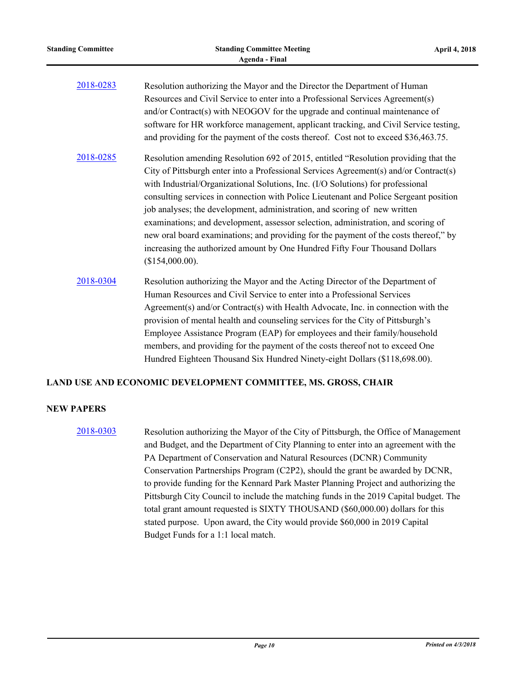| <b>Standing Committee</b> | <b>Standing Committee Meeting</b><br><b>Agenda - Final</b>                                                                                                                                                                                                                                                                                                                                                                                                                                                                                                                                                                                                                                                           | April 4, 2018 |
|---------------------------|----------------------------------------------------------------------------------------------------------------------------------------------------------------------------------------------------------------------------------------------------------------------------------------------------------------------------------------------------------------------------------------------------------------------------------------------------------------------------------------------------------------------------------------------------------------------------------------------------------------------------------------------------------------------------------------------------------------------|---------------|
| 2018-0283                 | Resolution authorizing the Mayor and the Director the Department of Human<br>Resources and Civil Service to enter into a Professional Services Agreement(s)<br>and/or Contract(s) with NEOGOV for the upgrade and continual maintenance of<br>software for HR workforce management, applicant tracking, and Civil Service testing,<br>and providing for the payment of the costs thereof. Cost not to exceed \$36,463.75.                                                                                                                                                                                                                                                                                            |               |
| 2018-0285                 | Resolution amending Resolution 692 of 2015, entitled "Resolution providing that the<br>City of Pittsburgh enter into a Professional Services Agreement(s) and/or Contract(s)<br>with Industrial/Organizational Solutions, Inc. (I/O Solutions) for professional<br>consulting services in connection with Police Lieutenant and Police Sergeant position<br>job analyses; the development, administration, and scoring of new written<br>examinations; and development, assessor selection, administration, and scoring of<br>new oral board examinations; and providing for the payment of the costs thereof," by<br>increasing the authorized amount by One Hundred Fifty Four Thousand Dollars<br>(\$154,000.00). |               |
| 2018-0304                 | Resolution authorizing the Mayor and the Acting Director of the Department of<br>Human Resources and Civil Service to enter into a Professional Services<br>Agreement(s) and/or Contract(s) with Health Advocate, Inc. in connection with the<br>provision of mental health and counseling services for the City of Pittsburgh's<br>Employee Assistance Program (EAP) for employees and their family/household<br>members, and providing for the payment of the costs thereof not to exceed One<br>Hundred Eighteen Thousand Six Hundred Ninety-eight Dollars (\$118,698.00).                                                                                                                                        |               |

# **LAND USE AND ECONOMIC DEVELOPMENT COMMITTEE, MS. GROSS, CHAIR**

# **NEW PAPERS**

[2018-0303](http://pittsburgh.legistar.com/gateway.aspx?m=l&id=/matter.aspx?key=22614) Resolution authorizing the Mayor of the City of Pittsburgh, the Office of Management and Budget, and the Department of City Planning to enter into an agreement with the PA Department of Conservation and Natural Resources (DCNR) Community Conservation Partnerships Program (C2P2), should the grant be awarded by DCNR, to provide funding for the Kennard Park Master Planning Project and authorizing the Pittsburgh City Council to include the matching funds in the 2019 Capital budget. The total grant amount requested is SIXTY THOUSAND (\$60,000.00) dollars for this stated purpose. Upon award, the City would provide \$60,000 in 2019 Capital Budget Funds for a 1:1 local match.